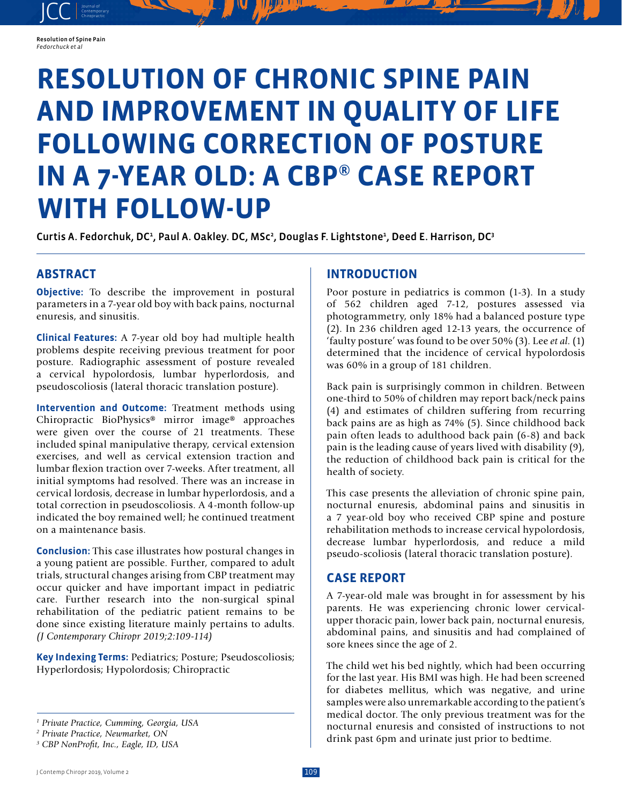#### Resolution of Spine Pain *Fedorchuck et al*

JCC contemporary Contemporary

# **RESOLUTION OF CHRONIC SPINE PAIN AND IMPROVEMENT IN QUALITY OF LIFE FOLLOWING CORRECTION OF POSTURE IN A 7-YEAR OLD: A CBP® CASE REPORT WITH FOLLOW-UP**

Curtis A. Fedorchuk, DCª, Paul A. Oakley. DC, MScª, Douglas F. Lightstoneª, Deed E. Harrison, DCª

## **ABSTRACT**

**Objective:** To describe the improvement in postural parameters in a 7-year old boy with back pains, nocturnal enuresis, and sinusitis.

**Clinical Features:** A 7-year old boy had multiple health problems despite receiving previous treatment for poor posture. Radiographic assessment of posture revealed a cervical hypolordosis, lumbar hyperlordosis, and pseudoscoliosis (lateral thoracic translation posture).

**Intervention and Outcome:** Treatment methods using Chiropractic BioPhysics® mirror image® approaches were given over the course of 21 treatments. These included spinal manipulative therapy, cervical extension exercises, and well as cervical extension traction and lumbar flexion traction over 7-weeks. After treatment, all initial symptoms had resolved. There was an increase in cervical lordosis, decrease in lumbar hyperlordosis, and a total correction in pseudoscoliosis. A 4-month follow-up indicated the boy remained well; he continued treatment on a maintenance basis.

**Conclusion:** This case illustrates how postural changes in a young patient are possible. Further, compared to adult trials, structural changes arising from CBP treatment may occur quicker and have important impact in pediatric care. Further research into the non-surgical spinal rehabilitation of the pediatric patient remains to be done since existing literature mainly pertains to adults. *(J Contemporary Chiropr 2019;2:109-114)*

**Key Indexing Terms:** Pediatrics; Posture; Pseudoscoliosis; Hyperlordosis; Hypolordosis; Chiropractic

## **INTRODUCTION**

Poor posture in pediatrics is common (1-3). In a study of 562 children aged 7-12, postures assessed via photogrammetry, only 18% had a balanced posture type (2). In 236 children aged 12-13 years, the occurrence of 'faulty posture' was found to be over 50% (3). Lee *et al*. (1) determined that the incidence of cervical hypolordosis was 60% in a group of 181 children.

Back pain is surprisingly common in children. Between one-third to 50% of children may report back/neck pains (4) and estimates of children suffering from recurring back pains are as high as 74% (5). Since childhood back pain often leads to adulthood back pain (6-8) and back pain is the leading cause of years lived with disability (9), the reduction of childhood back pain is critical for the health of society.

This case presents the alleviation of chronic spine pain, nocturnal enuresis, abdominal pains and sinusitis in a 7 year-old boy who received CBP spine and posture rehabilitation methods to increase cervical hypolordosis, decrease lumbar hyperlordosis, and reduce a mild pseudo-scoliosis (lateral thoracic translation posture).

## **CASE REPORT**

A 7-year-old male was brought in for assessment by his parents. He was experiencing chronic lower cervicalupper thoracic pain, lower back pain, nocturnal enuresis, abdominal pains, and sinusitis and had complained of sore knees since the age of 2.

The child wet his bed nightly, which had been occurring for the last year. His BMI was high. He had been screened for diabetes mellitus, which was negative, and urine samples were also unremarkable according to the patient's medical doctor. The only previous treatment was for the nocturnal enuresis and consisted of instructions to not drink past 6pm and urinate just prior to bedtime.

*<sup>1</sup> Private Practice, Cumming, Georgia, USA*

*<sup>2</sup> Private Practice, Newmarket, ON*

*<sup>3</sup> CBP NonProfit, Inc., Eagle, ID, USA*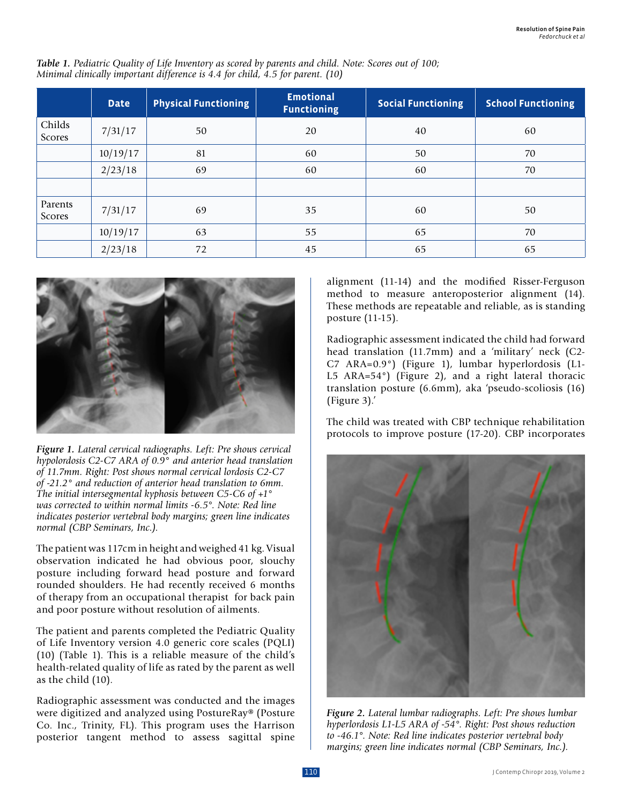|                   | <b>Date</b> | <b>Physical Functioning</b> | <b>Emotional</b><br><b>Functioning</b> | <b>Social Functioning</b> | <b>School Functioning</b> |
|-------------------|-------------|-----------------------------|----------------------------------------|---------------------------|---------------------------|
| Childs<br>Scores  | 7/31/17     | 50                          | 20                                     | 40                        | 60                        |
|                   | 10/19/17    | 81                          | 60                                     | 50                        | 70                        |
|                   | 2/23/18     | 69                          | 60                                     | 60                        | 70                        |
|                   |             |                             |                                        |                           |                           |
| Parents<br>Scores | 7/31/17     | 69                          | 35                                     | 60                        | 50                        |
|                   | 10/19/17    | 63                          | 55                                     | 65                        | 70                        |
|                   | 2/23/18     | 72                          | 45                                     | 65                        | 65                        |

*Table 1. Pediatric Quality of Life Inventory as scored by parents and child. Note: Scores out of 100; Minimal clinically important difference is 4.4 for child, 4.5 for parent. (10)*



*Figure 1. Lateral cervical radiographs. Left: Pre shows cervical hypolordosis C2-C7 ARA of 0.9° and anterior head translation of 11.7mm. Right: Post shows normal cervical lordosis C2-C7 of -21.2° and reduction of anterior head translation to 6mm. The initial intersegmental kyphosis between C5-C6 of +1° was corrected to within normal limits -6.5°. Note: Red line indicates posterior vertebral body margins; green line indicates normal (CBP Seminars, Inc.).*

The patient was 117cm in height and weighed 41 kg. Visual observation indicated he had obvious poor, slouchy posture including forward head posture and forward rounded shoulders. He had recently received 6 months of therapy from an occupational therapist for back pain and poor posture without resolution of ailments.

The patient and parents completed the Pediatric Quality of Life Inventory version 4.0 generic core scales (PQLI) (10) (Table 1). This is a reliable measure of the child's health-related quality of life as rated by the parent as well as the child (10).

Radiographic assessment was conducted and the images were digitized and analyzed using PostureRay® (Posture Co. Inc., Trinity, FL). This program uses the Harrison posterior tangent method to assess sagittal spine

alignment (11-14) and the modified Risser-Ferguson method to measure anteroposterior alignment (14). These methods are repeatable and reliable, as is standing posture (11-15).

Radiographic assessment indicated the child had forward head translation (11.7mm) and a 'military' neck (C2- C7 ARA=0.9°) (Figure 1), lumbar hyperlordosis (L1- L5 ARA=54°) (Figure 2), and a right lateral thoracic translation posture (6.6mm), aka 'pseudo-scoliosis (16) (Figure 3).'

The child was treated with CBP technique rehabilitation protocols to improve posture (17-20). CBP incorporates



*Figure 2. Lateral lumbar radiographs. Left: Pre shows lumbar hyperlordosis L1-L5 ARA of -54°. Right: Post shows reduction to -46.1°. Note: Red line indicates posterior vertebral body margins; green line indicates normal (CBP Seminars, Inc.).*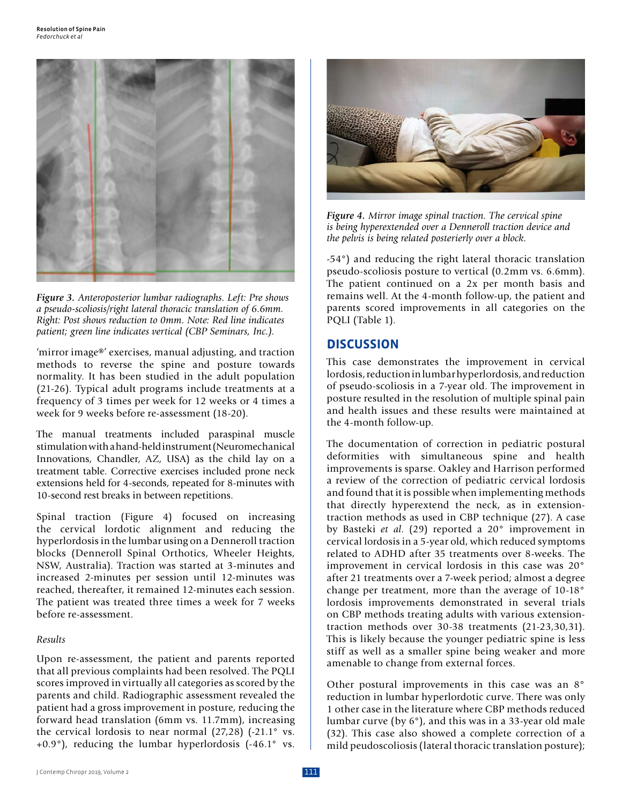

*Figure 3. Anteroposterior lumbar radiographs. Left: Pre shows a pseudo-scoliosis/right lateral thoracic translation of 6.6mm. Right: Post shows reduction to 0mm. Note: Red line indicates patient; green line indicates vertical (CBP Seminars, Inc.).*

'mirror image®' exercises, manual adjusting, and traction methods to reverse the spine and posture towards normality. It has been studied in the adult population (21-26). Typical adult programs include treatments at a frequency of 3 times per week for 12 weeks or 4 times a week for 9 weeks before re-assessment (18-20).

The manual treatments included paraspinal muscle stimulation with a hand-held instrument (Neuromechanical Innovations, Chandler, AZ, USA) as the child lay on a treatment table. Corrective exercises included prone neck extensions held for 4-seconds, repeated for 8-minutes with 10-second rest breaks in between repetitions.

Spinal traction (Figure 4) focused on increasing the cervical lordotic alignment and reducing the hyperlordosis in the lumbar using on a Denneroll traction blocks (Denneroll Spinal Orthotics, Wheeler Heights, NSW, Australia). Traction was started at 3-minutes and increased 2-minutes per session until 12-minutes was reached, thereafter, it remained 12-minutes each session. The patient was treated three times a week for 7 weeks before re-assessment.

#### *Results*

Upon re-assessment, the patient and parents reported that all previous complaints had been resolved. The PQLI scores improved in virtually all categories as scored by the parents and child. Radiographic assessment revealed the patient had a gross improvement in posture, reducing the forward head translation (6mm vs. 11.7mm), increasing the cervical lordosis to near normal (27,28) (-21.1° vs.  $+0.9^{\circ}$ ), reducing the lumbar hyperlordosis  $(-46.1^{\circ}$  vs.



*Figure 4. Mirror image spinal traction. The cervical spine is being hyperextended over a Denneroll traction device and the pelvis is being related posterierly over a block.*

-54°) and reducing the right lateral thoracic translation pseudo-scoliosis posture to vertical (0.2mm vs. 6.6mm). The patient continued on a 2x per month basis and remains well. At the 4-month follow-up, the patient and parents scored improvements in all categories on the PQLI (Table 1).

### **DISCUSSION**

This case demonstrates the improvement in cervical lordosis, reduction in lumbar hyperlordosis, and reduction of pseudo-scoliosis in a 7-year old. The improvement in posture resulted in the resolution of multiple spinal pain and health issues and these results were maintained at the 4-month follow-up.

The documentation of correction in pediatric postural deformities with simultaneous spine and health improvements is sparse. Oakley and Harrison performed a review of the correction of pediatric cervical lordosis and found that it is possible when implementing methods that directly hyperextend the neck, as in extensiontraction methods as used in CBP technique (27). A case by Basteki *et al*. (29) reported a 20° improvement in cervical lordosis in a 5-year old, which reduced symptoms related to ADHD after 35 treatments over 8-weeks. The improvement in cervical lordosis in this case was 20° after 21 treatments over a 7-week period; almost a degree change per treatment, more than the average of 10-18° lordosis improvements demonstrated in several trials on CBP methods treating adults with various extensiontraction methods over 30-38 treatments (21-23,30,31). This is likely because the younger pediatric spine is less stiff as well as a smaller spine being weaker and more amenable to change from external forces.

Other postural improvements in this case was an 8° reduction in lumbar hyperlordotic curve. There was only 1 other case in the literature where CBP methods reduced lumbar curve (by 6°), and this was in a 33-year old male (32). This case also showed a complete correction of a mild peudoscoliosis (lateral thoracic translation posture);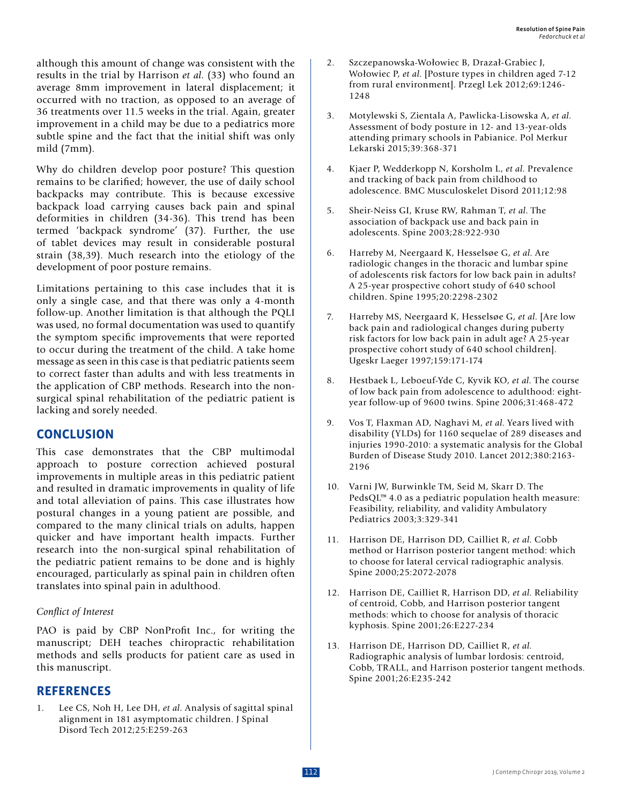although this amount of change was consistent with the results in the trial by Harrison *et al*. (33) who found an average 8mm improvement in lateral displacement; it occurred with no traction, as opposed to an average of 36 treatments over 11.5 weeks in the trial. Again, greater improvement in a child may be due to a pediatrics more subtle spine and the fact that the initial shift was only mild (7mm).

Why do children develop poor posture? This question remains to be clarified; however, the use of daily school backpacks may contribute. This is because excessive backpack load carrying causes back pain and spinal deformities in children (34-36). This trend has been termed 'backpack syndrome' (37). Further, the use of tablet devices may result in considerable postural strain (38,39). Much research into the etiology of the development of poor posture remains.

Limitations pertaining to this case includes that it is only a single case, and that there was only a 4-month follow-up. Another limitation is that although the PQLI was used, no formal documentation was used to quantify the symptom specific improvements that were reported to occur during the treatment of the child. A take home message as seen in this case is that pediatric patients seem to correct faster than adults and with less treatments in the application of CBP methods. Research into the nonsurgical spinal rehabilitation of the pediatric patient is lacking and sorely needed.

## **CONCLUSION**

This case demonstrates that the CBP multimodal approach to posture correction achieved postural improvements in multiple areas in this pediatric patient and resulted in dramatic improvements in quality of life and total alleviation of pains. This case illustrates how postural changes in a young patient are possible, and compared to the many clinical trials on adults, happen quicker and have important health impacts. Further research into the non-surgical spinal rehabilitation of the pediatric patient remains to be done and is highly encouraged, particularly as spinal pain in children often translates into spinal pain in adulthood.

### *Conflict of Interest*

PAO is paid by CBP NonProfit Inc., for writing the manuscript; DEH teaches chiropractic rehabilitation methods and sells products for patient care as used in this manuscript.

## **REFERENCES**

1. Lee CS, Noh H, Lee DH, *et al*. Analysis of sagittal spinal alignment in 181 asymptomatic children. J Spinal Disord Tech 2012;25:E259-263

- 2. Szczepanowska-Wołowiec B, Drazał-Grabiec J, Wołowiec P, *et al*. [Posture types in children aged 7-12 from rural environment]. Przegl Lek 2012;69:1246- 1248
- 3. Motylewski S, Zientala A, Pawlicka-Lisowska A, *et al*. Assessment of body posture in 12- and 13-year-olds attending primary schools in Pabianice. Pol Merkur Lekarski 2015;39:368-371
- 4. Kjaer P, Wedderkopp N, Korsholm L, *et al*. Prevalence and tracking of back pain from childhood to adolescence. BMC Musculoskelet Disord 2011;12:98
- 5. Sheir-Neiss GI, Kruse RW, Rahman T, *et al*. The association of backpack use and back pain in adolescents. Spine 2003;28:922-930
- 6. Harreby M, Neergaard K, Hesselsøe G, *et al*. Are radiologic changes in the thoracic and lumbar spine of adolescents risk factors for low back pain in adults? A 25-year prospective cohort study of 640 school children. Spine 1995;20:2298-2302
- 7. Harreby MS, Neergaard K, Hesselsøe G, *et al*. [Are low back pain and radiological changes during puberty risk factors for low back pain in adult age? A 25-year prospective cohort study of 640 school children]. Ugeskr Laeger 1997;159:171-174
- 8. Hestbaek L, Leboeuf-Yde C, Kyvik KO, *et al*. The course of low back pain from adolescence to adulthood: eightyear follow-up of 9600 twins. Spine 2006;31:468-472
- 9. Vos T, Flaxman AD, Naghavi M, *et al*. Years lived with disability (YLDs) for 1160 sequelae of 289 diseases and injuries 1990-2010: a systematic analysis for the Global Burden of Disease Study 2010. Lancet 2012;380:2163- 2196
- 10. Varni JW, Burwinkle TM, Seid M, Skarr D. The PedsQL™ 4.0 as a pediatric population health measure: Feasibility, reliability, and validity Ambulatory Pediatrics 2003;3:329-341
- 11. Harrison DE, Harrison DD, Cailliet R, *et al*. Cobb method or Harrison posterior tangent method: which to choose for lateral cervical radiographic analysis. Spine 2000;25:2072-2078
- 12. Harrison DE, Cailliet R, Harrison DD, *et al*. Reliability of centroid, Cobb, and Harrison posterior tangent methods: which to choose for analysis of thoracic kyphosis. Spine 2001;26:E227-234
- 13. Harrison DE, Harrison DD, Cailliet R, *et al*. Radiographic analysis of lumbar lordosis: centroid, Cobb, TRALL, and Harrison posterior tangent methods. Spine 2001;26:E235-242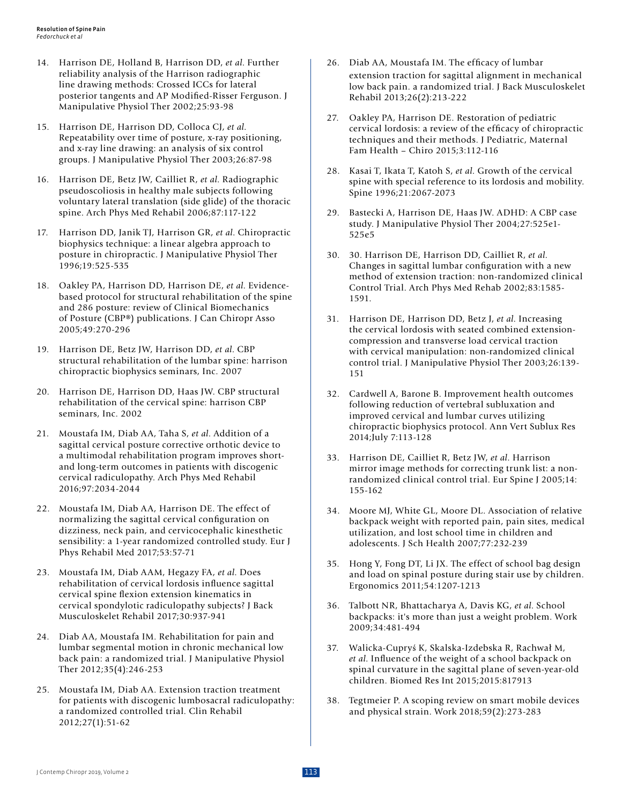- 14. Harrison DE, Holland B, Harrison DD, *et al*. Further reliability analysis of the Harrison radiographic line drawing methods: Crossed ICCs for lateral posterior tangents and AP Modified-Risser Ferguson. J Manipulative Physiol Ther 2002;25:93-98
- 15. Harrison DE, Harrison DD, Colloca CJ, *et al*. Repeatability over time of posture, x-ray positioning, and x-ray line drawing: an analysis of six control groups. J Manipulative Physiol Ther 2003;26:87-98
- 16. Harrison DE, Betz JW, Cailliet R, *et al*. Radiographic pseudoscoliosis in healthy male subjects following voluntary lateral translation (side glide) of the thoracic spine. Arch Phys Med Rehabil 2006;87:117-122
- 17. Harrison DD, Janik TJ, Harrison GR, *et al*. Chiropractic biophysics technique: a linear algebra approach to posture in chiropractic. J Manipulative Physiol Ther 1996;19:525-535
- 18. Oakley PA, Harrison DD, Harrison DE, *et al*. Evidencebased protocol for structural rehabilitation of the spine and 286 posture: review of Clinical Biomechanics of Posture (CBP®) publications. J Can Chiropr Asso 2005;49:270-296
- 19. Harrison DE, Betz JW, Harrison DD, *et al*. CBP structural rehabilitation of the lumbar spine: harrison chiropractic biophysics seminars, Inc. 2007
- 20. Harrison DE, Harrison DD, Haas JW. CBP structural rehabilitation of the cervical spine: harrison CBP seminars, Inc. 2002
- 21. Moustafa IM, Diab AA, Taha S, *et al*. Addition of a sagittal cervical posture corrective orthotic device to a multimodal rehabilitation program improves shortand long-term outcomes in patients with discogenic cervical radiculopathy. Arch Phys Med Rehabil 2016;97:2034-2044
- 22. Moustafa IM, Diab AA, Harrison DE. The effect of normalizing the sagittal cervical configuration on dizziness, neck pain, and cervicocephalic kinesthetic sensibility: a 1-year randomized controlled study. Eur J Phys Rehabil Med 2017;53:57-71
- 23. Moustafa IM, Diab AAM, Hegazy FA, *et al*. Does rehabilitation of cervical lordosis influence sagittal cervical spine flexion extension kinematics in cervical spondylotic radiculopathy subjects? J Back Musculoskelet Rehabil 2017;30:937-941
- 24. Diab AA, Moustafa IM. Rehabilitation for pain and lumbar segmental motion in chronic mechanical low back pain: a randomized trial. J Manipulative Physiol Ther 2012;35(4):246-253
- 25. Moustafa IM, Diab AA. Extension traction treatment for patients with discogenic lumbosacral radiculopathy: a randomized controlled trial. Clin Rehabil 2012;27(1):51-62
- 26. Diab AA, Moustafa IM. The efficacy of lumbar extension traction for sagittal alignment in mechanical low back pain. a randomized trial. J Back Musculoskelet Rehabil 2013;26(2):213-222
- 27. Oakley PA, Harrison DE. Restoration of pediatric cervical lordosis: a review of the efficacy of chiropractic techniques and their methods. J Pediatric, Maternal Fam Health – Chiro 2015;3:112-116
- 28. Kasai T, Ikata T, Katoh S, *et al*. Growth of the cervical spine with special reference to its lordosis and mobility. Spine 1996;21:2067-2073
- 29. Bastecki A, Harrison DE, Haas JW. ADHD: A CBP case study. J Manipulative Physiol Ther 2004;27:525e1- 525e5
- 30. 30. Harrison DE, Harrison DD, Cailliet R, *et al*. Changes in sagittal lumbar configuration with a new method of extension traction: non-randomized clinical Control Trial. Arch Phys Med Rehab 2002;83:1585- 1591.
- 31. Harrison DE, Harrison DD, Betz J, *et al*. Increasing the cervical lordosis with seated combined extensioncompression and transverse load cervical traction with cervical manipulation: non-randomized clinical control trial. J Manipulative Physiol Ther 2003;26:139- 151
- 32. Cardwell A, Barone B. Improvement health outcomes following reduction of vertebral subluxation and improved cervical and lumbar curves utilizing chiropractic biophysics protocol. Ann Vert Sublux Res 2014;July 7:113-128
- 33. Harrison DE, Cailliet R, Betz JW, *et al*. Harrison mirror image methods for correcting trunk list: a nonrandomized clinical control trial. Eur Spine J 2005;14: 155-162
- 34. Moore MJ, White GL, Moore DL. Association of relative backpack weight with reported pain, pain sites, medical utilization, and lost school time in children and adolescents. J Sch Health 2007;77:232-239
- 35. Hong Y, Fong DT, Li JX. The effect of school bag design and load on spinal posture during stair use by children. Ergonomics 2011;54:1207-1213
- 36. Talbott NR, Bhattacharya A, Davis KG, *et al*. School backpacks: it's more than just a weight problem. Work 2009;34:481-494
- 37. Walicka-Cupryś K, Skalska-Izdebska R, Rachwał M, *et al*. Influence of the weight of a school backpack on spinal curvature in the sagittal plane of seven-year-old children. Biomed Res Int 2015;2015:817913
- 38. Tegtmeier P. A scoping review on smart mobile devices and physical strain. Work 2018;59(2):273-283